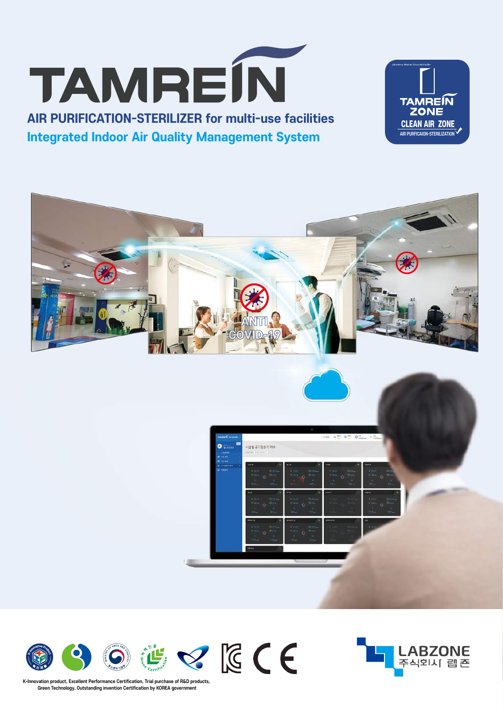

K-Innovation product, Excellent Performance Certification, Trial purchase of R&D products. Green Technology, Outstanding invention Certification by KOREA government





**AIR PURIFICATION-STERILIZER for multi-use facilities Integrated Indoor Air Quality Management System** 





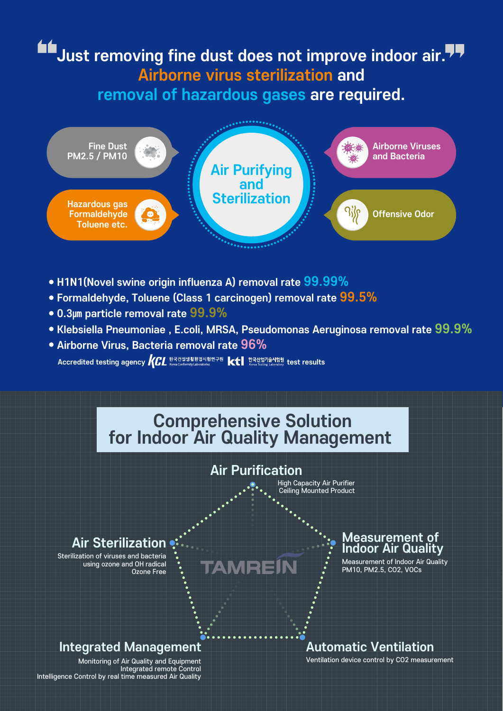# Just removing fine dust does not improve indoor air. Airborne virus sterilization and removal of hazardous gases are required.



- H1N1 (Novel swine origin influenza A) removal rate 99.99%
- Formaldehyde, Toluene (Class 1 carcinogen) removal rate 99.5%
- $\bullet$  0.3µm particle removal rate  $99.9\%$
- Klebsiella Pneumoniae , E.coli, MRSA, Pseudomonas Aeruginosa removal rate 99.9%
- · Airborne Virus, Bacteria removal rate 96% Accredited testing agency *KCL* and Marketing and Marketing and Marketing and Marketing Labraceting Labraceting Labraceting Labraceting Labraceting Labraceting Labraceting Labraceting Labraceting Labraceting Labraceting La



Monitoring of Air Quality and Equipment Integrated remote Control<br>Integrated remote Control by real time measured Air Quality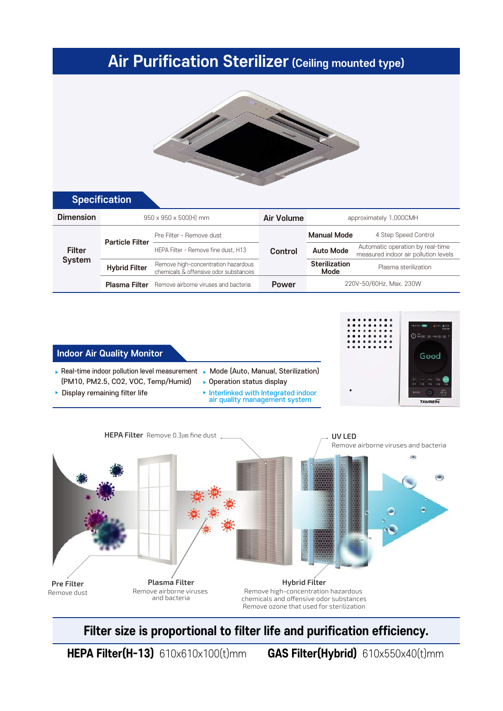## **Air Purification Sterilizer (Ceiling mounted type)**



### **Specification**

| <b>Dimension</b>               | $950 \times 950 \times 500$ (H) mm |                                                                              | Air Volume   | approximately 1,000CMH       |                                                                          |  |
|--------------------------------|------------------------------------|------------------------------------------------------------------------------|--------------|------------------------------|--------------------------------------------------------------------------|--|
| <b>Filter</b><br><b>System</b> | <b>Particle Filter</b>             | Pre Filter - Remove dust                                                     | Control      | <b>Manual Mode</b>           | 4 Step Speed Control                                                     |  |
|                                |                                    | HEPA Filter - Remove fine dust, H13                                          |              | <b>Auto Mode</b>             | Automatic operation by real-time<br>measured indoor air pollution levels |  |
|                                | <b>Hybrid Filter</b>               | Remove high-concentration hazardous<br>chemicals & offensive odor substances |              | <b>Sterilization</b><br>Mode | Plasma sterilization                                                     |  |
|                                |                                    | <b>Plasma Filter</b> Remove airborne viruses and bacteria                    | <b>Power</b> | 220V-50/60Hz, Max. 230W      |                                                                          |  |

#### Indoor Air Quality Monitor

- Real-time indoor pollution level measurement ► Mode (Auto, Manual, Sterilization) (PM10, PM2.5, CO2, VOC, Temp/Humid)
- Display remaining filter life
- Operation status display
- Interlinked with Integrated indoor air quality management system





Filter size is proportional to filter life and purification efficiency.

GAS Filter(Hybrid) 610x550x40(t)mm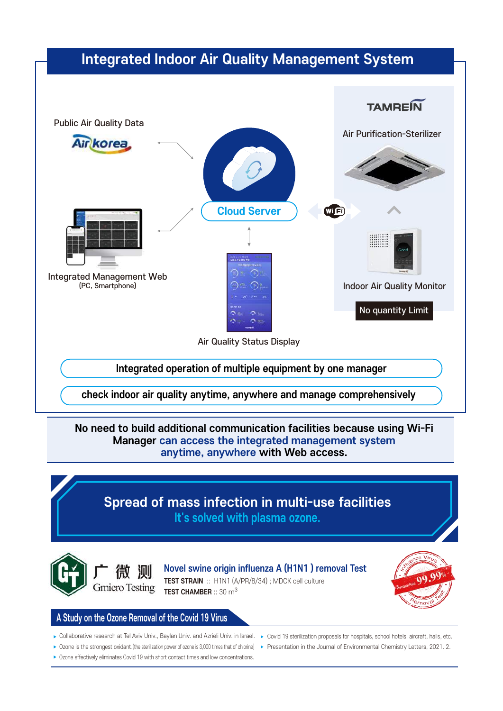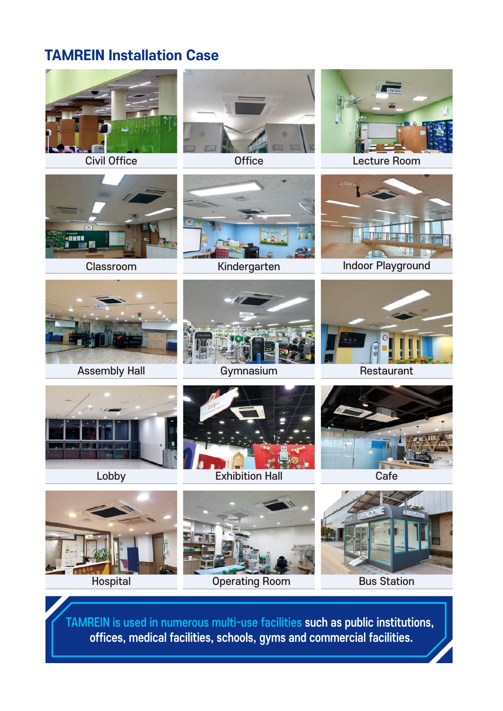## **TAMREIN Installation Case**